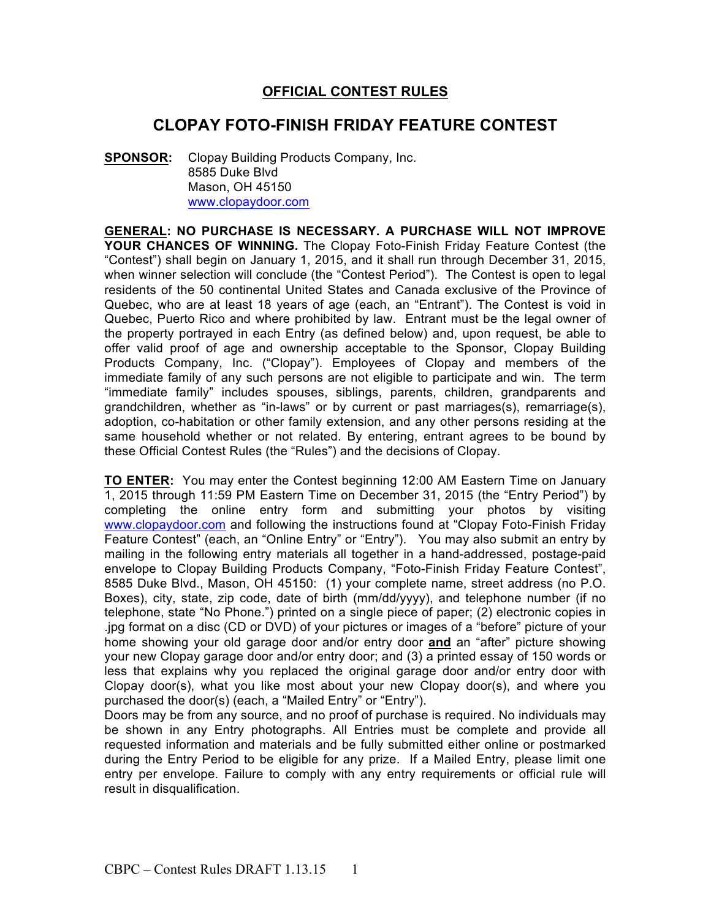## **OFFICIAL CONTEST RULES**

## **CLOPAY FOTO-FINISH FRIDAY FEATURE CONTEST**

**SPONSOR:** Clopay Building Products Company, Inc. 8585 Duke Blvd Mason, OH 45150 www.clopaydoor.com

**GENERAL: NO PURCHASE IS NECESSARY. A PURCHASE WILL NOT IMPROVE YOUR CHANCES OF WINNING.** The Clopay Foto-Finish Friday Feature Contest (the "Contest") shall begin on January 1, 2015, and it shall run through December 31, 2015, when winner selection will conclude (the "Contest Period"). The Contest is open to legal residents of the 50 continental United States and Canada exclusive of the Province of Quebec, who are at least 18 years of age (each, an "Entrant"). The Contest is void in Quebec, Puerto Rico and where prohibited by law. Entrant must be the legal owner of the property portrayed in each Entry (as defined below) and, upon request, be able to offer valid proof of age and ownership acceptable to the Sponsor, Clopay Building Products Company, Inc. ("Clopay"). Employees of Clopay and members of the immediate family of any such persons are not eligible to participate and win. The term "immediate family" includes spouses, siblings, parents, children, grandparents and grandchildren, whether as "in-laws" or by current or past marriages(s), remarriage(s), adoption, co-habitation or other family extension, and any other persons residing at the same household whether or not related. By entering, entrant agrees to be bound by these Official Contest Rules (the "Rules") and the decisions of Clopay.

**TO ENTER:** You may enter the Contest beginning 12:00 AM Eastern Time on January 1, 2015 through 11:59 PM Eastern Time on December 31, 2015 (the "Entry Period") by completing the online entry form and submitting your photos by visiting www.clopaydoor.com and following the instructions found at "Clopay Foto-Finish Friday Feature Contest" (each, an "Online Entry" or "Entry"). You may also submit an entry by mailing in the following entry materials all together in a hand-addressed, postage-paid envelope to Clopay Building Products Company, "Foto-Finish Friday Feature Contest", 8585 Duke Blvd., Mason, OH 45150: (1) your complete name, street address (no P.O. Boxes), city, state, zip code, date of birth (mm/dd/yyyy), and telephone number (if no telephone, state "No Phone.") printed on a single piece of paper; (2) electronic copies in .jpg format on a disc (CD or DVD) of your pictures or images of a "before" picture of your home showing your old garage door and/or entry door **and** an "after" picture showing your new Clopay garage door and/or entry door; and (3) a printed essay of 150 words or less that explains why you replaced the original garage door and/or entry door with Clopay door(s), what you like most about your new Clopay door(s), and where you purchased the door(s) (each, a "Mailed Entry" or "Entry").

Doors may be from any source, and no proof of purchase is required. No individuals may be shown in any Entry photographs. All Entries must be complete and provide all requested information and materials and be fully submitted either online or postmarked during the Entry Period to be eligible for any prize. If a Mailed Entry, please limit one entry per envelope. Failure to comply with any entry requirements or official rule will result in disqualification.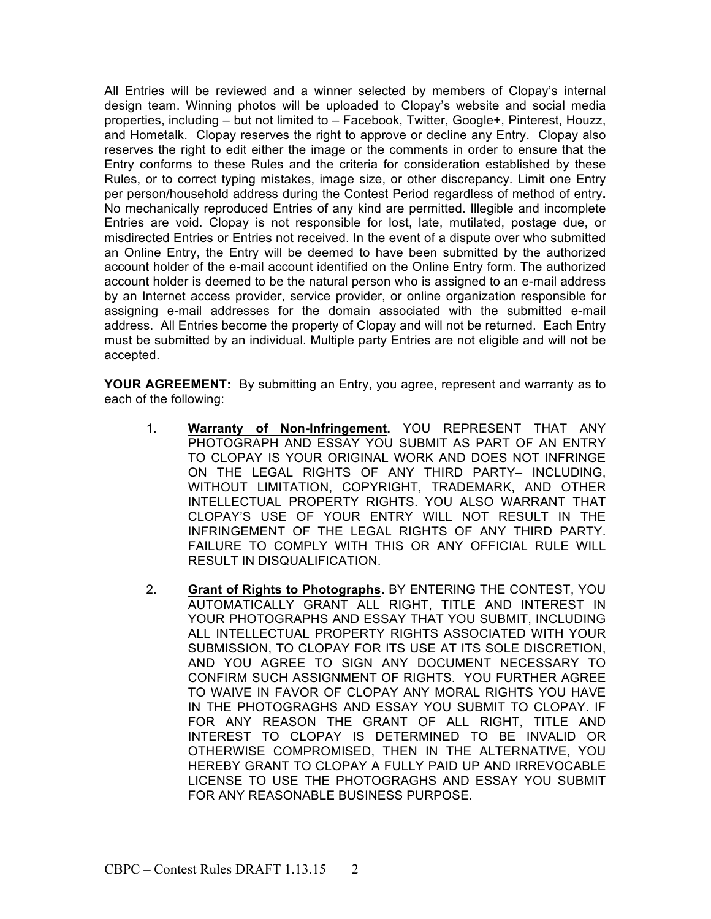All Entries will be reviewed and a winner selected by members of Clopay's internal design team. Winning photos will be uploaded to Clopay's website and social media properties, including – but not limited to – Facebook, Twitter, Google+, Pinterest, Houzz, and Hometalk. Clopay reserves the right to approve or decline any Entry. Clopay also reserves the right to edit either the image or the comments in order to ensure that the Entry conforms to these Rules and the criteria for consideration established by these Rules, or to correct typing mistakes, image size, or other discrepancy. Limit one Entry per person/household address during the Contest Period regardless of method of entry**.**  No mechanically reproduced Entries of any kind are permitted. Illegible and incomplete Entries are void. Clopay is not responsible for lost, late, mutilated, postage due, or misdirected Entries or Entries not received. In the event of a dispute over who submitted an Online Entry, the Entry will be deemed to have been submitted by the authorized account holder of the e-mail account identified on the Online Entry form. The authorized account holder is deemed to be the natural person who is assigned to an e-mail address by an Internet access provider, service provider, or online organization responsible for assigning e-mail addresses for the domain associated with the submitted e-mail address. All Entries become the property of Clopay and will not be returned. Each Entry must be submitted by an individual. Multiple party Entries are not eligible and will not be accepted.

**YOUR AGREEMENT:** By submitting an Entry, you agree, represent and warranty as to each of the following:

- 1. **Warranty of Non-Infringement.** YOU REPRESENT THAT ANY PHOTOGRAPH AND ESSAY YOU SUBMIT AS PART OF AN ENTRY TO CLOPAY IS YOUR ORIGINAL WORK AND DOES NOT INFRINGE ON THE LEGAL RIGHTS OF ANY THIRD PARTY– INCLUDING, WITHOUT LIMITATION, COPYRIGHT, TRADEMARK, AND OTHER INTELLECTUAL PROPERTY RIGHTS. YOU ALSO WARRANT THAT CLOPAY'S USE OF YOUR ENTRY WILL NOT RESULT IN THE INFRINGEMENT OF THE LEGAL RIGHTS OF ANY THIRD PARTY. FAILURE TO COMPLY WITH THIS OR ANY OFFICIAL RULE WILL RESULT IN DISQUALIFICATION.
- 2. **Grant of Rights to Photographs.** BY ENTERING THE CONTEST, YOU AUTOMATICALLY GRANT ALL RIGHT, TITLE AND INTEREST IN YOUR PHOTOGRAPHS AND ESSAY THAT YOU SUBMIT, INCLUDING ALL INTELLECTUAL PROPERTY RIGHTS ASSOCIATED WITH YOUR SUBMISSION, TO CLOPAY FOR ITS USE AT ITS SOLE DISCRETION, AND YOU AGREE TO SIGN ANY DOCUMENT NECESSARY TO CONFIRM SUCH ASSIGNMENT OF RIGHTS. YOU FURTHER AGREE TO WAIVE IN FAVOR OF CLOPAY ANY MORAL RIGHTS YOU HAVE IN THE PHOTOGRAGHS AND ESSAY YOU SUBMIT TO CLOPAY. IF FOR ANY REASON THE GRANT OF ALL RIGHT, TITLE AND INTEREST TO CLOPAY IS DETERMINED TO BE INVALID OR OTHERWISE COMPROMISED, THEN IN THE ALTERNATIVE, YOU HEREBY GRANT TO CLOPAY A FULLY PAID UP AND IRREVOCABLE LICENSE TO USE THE PHOTOGRAGHS AND ESSAY YOU SUBMIT FOR ANY REASONABLE BUSINESS PURPOSE.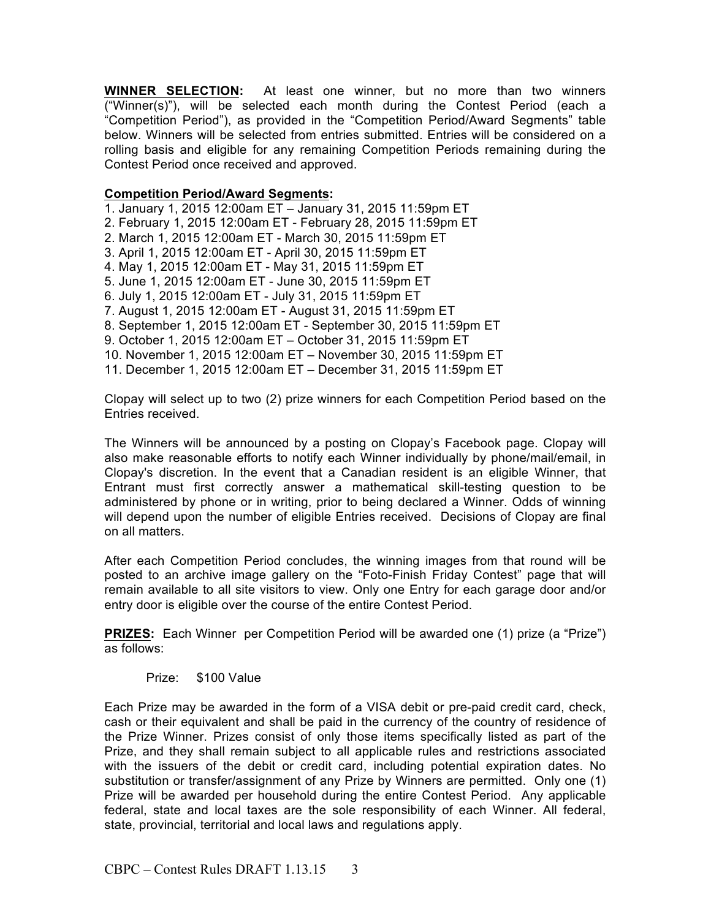**WINNER SELECTION:** At least one winner, but no more than two winners ("Winner(s)"), will be selected each month during the Contest Period (each a "Competition Period"), as provided in the "Competition Period/Award Segments" table below. Winners will be selected from entries submitted. Entries will be considered on a rolling basis and eligible for any remaining Competition Periods remaining during the Contest Period once received and approved.

## **Competition Period/Award Segments:**

1. January 1, 2015 12:00am ET – January 31, 2015 11:59pm ET 2. February 1, 2015 12:00am ET - February 28, 2015 11:59pm ET 2. March 1, 2015 12:00am ET - March 30, 2015 11:59pm ET 3. April 1, 2015 12:00am ET - April 30, 2015 11:59pm ET 4. May 1, 2015 12:00am ET - May 31, 2015 11:59pm ET 5. June 1, 2015 12:00am ET - June 30, 2015 11:59pm ET 6. July 1, 2015 12:00am ET - July 31, 2015 11:59pm ET 7. August 1, 2015 12:00am ET - August 31, 2015 11:59pm ET 8. September 1, 2015 12:00am ET - September 30, 2015 11:59pm ET 9. October 1, 2015 12:00am ET – October 31, 2015 11:59pm ET 10. November 1, 2015 12:00am ET – November 30, 2015 11:59pm ET 11. December 1, 2015 12:00am ET – December 31, 2015 11:59pm ET

Clopay will select up to two (2) prize winners for each Competition Period based on the Entries received.

The Winners will be announced by a posting on Clopay's Facebook page. Clopay will also make reasonable efforts to notify each Winner individually by phone/mail/email, in Clopay's discretion. In the event that a Canadian resident is an eligible Winner, that Entrant must first correctly answer a mathematical skill-testing question to be administered by phone or in writing, prior to being declared a Winner. Odds of winning will depend upon the number of eligible Entries received. Decisions of Clopay are final on all matters.

After each Competition Period concludes, the winning images from that round will be posted to an archive image gallery on the "Foto-Finish Friday Contest" page that will remain available to all site visitors to view. Only one Entry for each garage door and/or entry door is eligible over the course of the entire Contest Period.

**PRIZES:** Each Winner per Competition Period will be awarded one (1) prize (a "Prize") as follows:

## Prize: \$100 Value

Each Prize may be awarded in the form of a VISA debit or pre-paid credit card, check, cash or their equivalent and shall be paid in the currency of the country of residence of the Prize Winner. Prizes consist of only those items specifically listed as part of the Prize, and they shall remain subject to all applicable rules and restrictions associated with the issuers of the debit or credit card, including potential expiration dates. No substitution or transfer/assignment of any Prize by Winners are permitted. Only one (1) Prize will be awarded per household during the entire Contest Period. Any applicable federal, state and local taxes are the sole responsibility of each Winner. All federal, state, provincial, territorial and local laws and regulations apply.